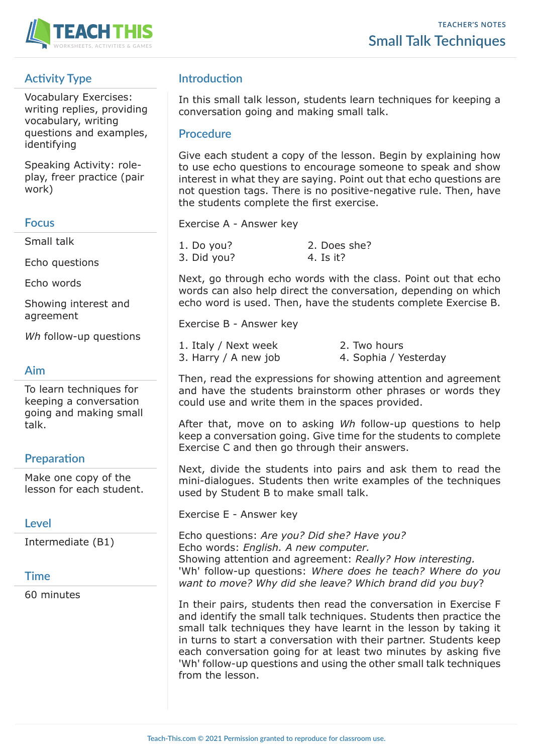

# **Activity Type**

Vocabulary Exercises: writing replies, providing vocabulary, writing questions and examples, identifying

Speaking Activity: roleplay, freer practice (pair work)

#### **Focus**

Small talk

Echo questions

Echo words

Showing interest and agreement

*Wh* follow-up questions

## **Aim**

To learn techniques for keeping a conversation going and making small talk.

## **Preparation**

Make one copy of the lesson for each student.

#### **Level**

Intermediate (B1)

## **Time**

60 minutes

## **Introduction**

In this small talk lesson, students learn techniques for keeping a conversation going and making small talk.

### **Procedure**

Give each student a copy of the lesson. Begin by explaining how to use echo questions to encourage someone to speak and show interest in what they are saying. Point out that echo questions are not question tags. There is no positive-negative rule. Then, have the students complete the first exercise.

Exercise A - Answer key

| 1. Do you?  | 2. Does she? |
|-------------|--------------|
| 3. Did you? | 4. Is it?    |

Next, go through echo words with the class. Point out that echo words can also help direct the conversation, depending on which echo word is used. Then, have the students complete Exercise B.

Exercise B - Answer key

1. Italy / Next week 2. Two hours 3. Harry / A new job 4. Sophia / Yesterday

Then, read the expressions for showing attention and agreement and have the students brainstorm other phrases or words they could use and write them in the spaces provided.

After that, move on to asking *Wh* follow-up questions to help keep a conversation going. Give time for the students to complete Exercise C and then go through their answers.

Next, divide the students into pairs and ask them to read the mini-dialogues. Students then write examples of the techniques used by Student B to make small talk.

Exercise E - Answer key

Echo questions: *Are you? Did she? Have you?* Echo words: *English. A new computer.* Showing attention and agreement: *Really? How interesting.* 'Wh' follow-up questions: *Where does he teach? Where do you want to move? Why did she leave? Which brand did you buy*?

In their pairs, students then read the conversation in Exercise F and identify the small talk techniques. Students then practice the small talk techniques they have learnt in the lesson by taking it in turns to start a conversation with their partner. Students keep each conversation going for at least two minutes by asking five 'Wh' follow-up questions and using the other small talk techniques from the lesson.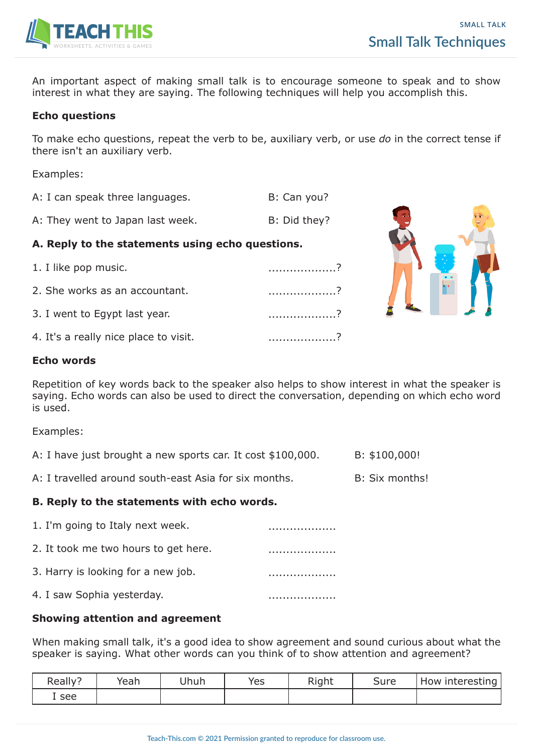

An important aspect of making small talk is to encourage someone to speak and to show interest in what they are saying. The following techniques will help you accomplish this.

#### **Echo questions**

To make echo questions, repeat the verb to be, auxiliary verb, or use *do* in the correct tense if there isn't an auxiliary verb.

Examples:

- A: I can speak three languages. B: Can you?
- A: They went to Japan last week. B: Did they?

#### **A. Reply to the statements using echo questions.**

1. I like pop music. ...................? 2. She works as an accountant.  $\ldots$ 3. I went to Egypt last year. .........................? 4. It's a really nice place to visit. ........................?



#### **Echo words**

Repetition of key words back to the speaker also helps to show interest in what the speaker is saying. Echo words can also be used to direct the conversation, depending on which echo word is used.

Examples:

| A: I have just brought a new sports car. It cost \$100,000. | B: \$100,000! |
|-------------------------------------------------------------|---------------|
|-------------------------------------------------------------|---------------|

A: I travelled around south-east Asia for six months. B: Six months!

#### **B. Reply to the statements with echo words.**

| 1. I'm going to Italy next week.     |  |
|--------------------------------------|--|
| 2. It took me two hours to get here. |  |
| 3. Harry is looking for a new job.   |  |
| 4. I saw Sophia yesterday.           |  |

#### **Showing attention and agreement**

When making small talk, it's a good idea to show agreement and sound curious about what the speaker is saying. What other words can you think of to show attention and agreement?

| Really <sup>®</sup> | Yeah | Jhuh | Yes | Right | Sure | How interesting |
|---------------------|------|------|-----|-------|------|-----------------|
| I see               |      |      |     |       |      |                 |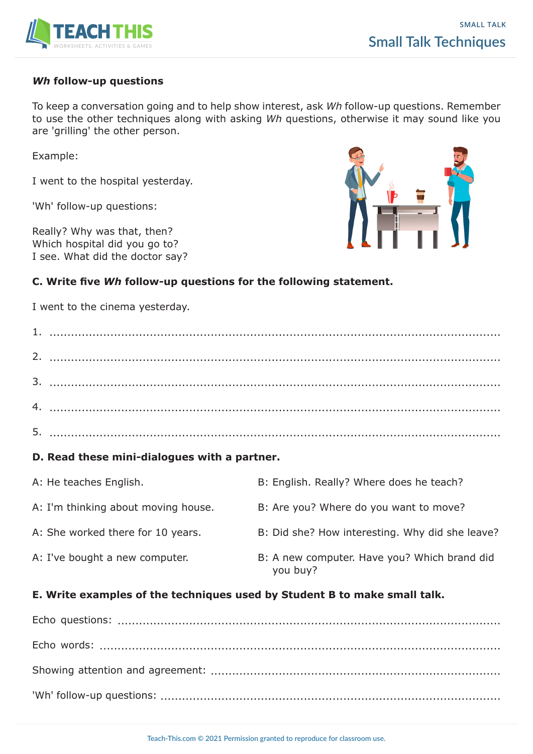

#### *Wh* **follow-up questions**

To keep a conversation going and to help show interest, ask *Wh* follow-up questions. Remember to use the other techniques along with asking *Wh* questions, otherwise it may sound like you are 'grilling' the other person.

Example:

I went to the hospital yesterday.

'Wh' follow-up questions:

Really? Why was that, then? Which hospital did you go to? I see. What did the doctor say?



#### **C. Write five** *Wh* **follow-up questions for the following statement.**

I went to the cinema yesterday.

| D. Read these mini-dialogues with a partner. |                                                                           |                                                          |  |
|----------------------------------------------|---------------------------------------------------------------------------|----------------------------------------------------------|--|
|                                              | A: He teaches English.                                                    | B: English. Really? Where does he teach?                 |  |
|                                              | A: I'm thinking about moving house.                                       | B: Are you? Where do you want to move?                   |  |
|                                              | A: She worked there for 10 years.                                         | B: Did she? How interesting. Why did she leave?          |  |
|                                              | A: I've bought a new computer.                                            | B: A new computer. Have you? Which brand did<br>you buy? |  |
|                                              | E. Write examples of the techniques used by Student B to make small talk. |                                                          |  |

Echo questions: ........................................................................................................... Echo words: ................................................................................................................ Showing attention and agreement: ................................................................................. 'Wh' follow-up questions: ...............................................................................................